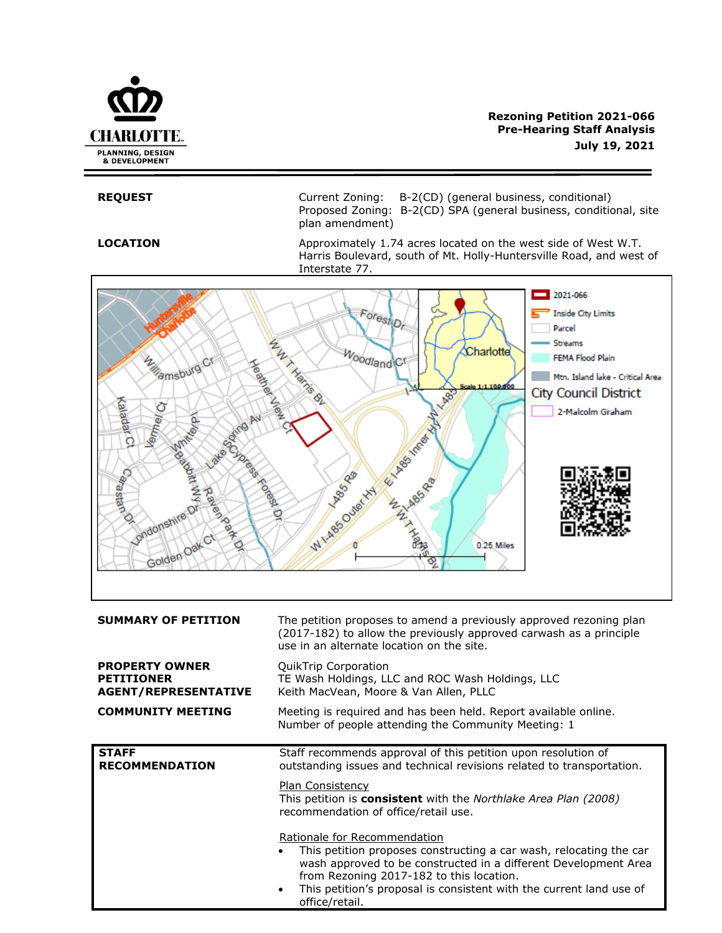

# **Rezoning Petition 2021-066 Pre-Hearing Staff Analysis July 19, 2021**

**REQUEST** Current Zoning: B-2(CD) (general business, conditional) Proposed Zoning: B-2(CD) SPA (general business, conditional, site plan amendment)

**LOCATION** Approximately 1.74 acres located on the west side of West W.T. Harris Boulevard, south of Mt. Holly-Huntersville Road, and west of Interstate 77.



Rationale for Recommendation

- This petition proposes constructing a car wash, relocating the car wash approved to be constructed in a different Development Area from Rezoning 2017-182 to this location.
- This petition's proposal is consistent with the current land use of office/retail.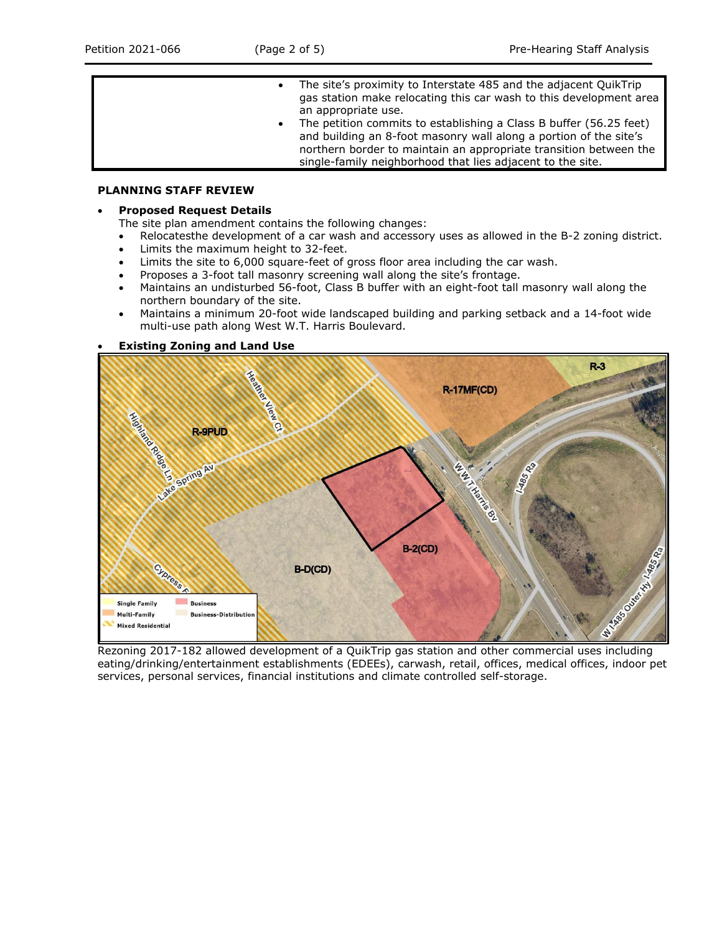- The site's proximity to Interstate 485 and the adjacent QuikTrip gas station make relocating this car wash to this development area an appropriate use. The petition commits to establishing a Class B buffer (56.25 feet)
	- and building an 8-foot masonry wall along a portion of the site's northern border to maintain an appropriate transition between the single-family neighborhood that lies adjacent to the site.

## **PLANNING STAFF REVIEW**

## • **Proposed Request Details**

- The site plan amendment contains the following changes:
- Relocatesthe development of a car wash and accessory uses as allowed in the B-2 zoning district.
- Limits the maximum height to 32-feet.
- Limits the site to 6,000 square-feet of gross floor area including the car wash.
- Proposes a 3-foot tall masonry screening wall along the site's frontage.
- Maintains an undisturbed 56-foot, Class B buffer with an eight-foot tall masonry wall along the northern boundary of the site.
- Maintains a minimum 20-foot wide landscaped building and parking setback and a 14-foot wide multi-use path along West W.T. Harris Boulevard.

## • **Existing Zoning and Land Use**



eating/drinking/entertainment establishments (EDEEs), carwash, retail, offices, medical offices, indoor pet services, personal services, financial institutions and climate controlled self-storage.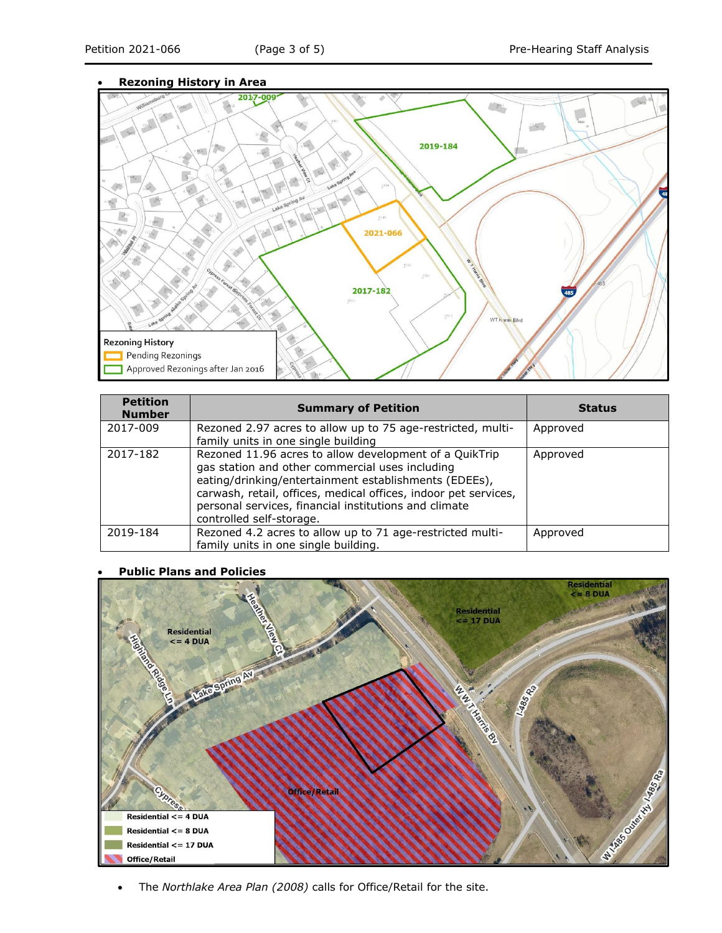## • **Rezoning History in Area**



| <b>Petition</b><br><b>Number</b> | <b>Summary of Petition</b>                                                                                                                                                                                                                                                                                                 | <b>Status</b> |
|----------------------------------|----------------------------------------------------------------------------------------------------------------------------------------------------------------------------------------------------------------------------------------------------------------------------------------------------------------------------|---------------|
| 2017-009                         | Rezoned 2.97 acres to allow up to 75 age-restricted, multi-<br>family units in one single building                                                                                                                                                                                                                         | Approved      |
| 2017-182                         | Rezoned 11.96 acres to allow development of a QuikTrip<br>gas station and other commercial uses including<br>eating/drinking/entertainment establishments (EDEEs),<br>carwash, retail, offices, medical offices, indoor pet services,<br>personal services, financial institutions and climate<br>controlled self-storage. | Approved      |
| 2019-184                         | Rezoned 4.2 acres to allow up to 71 age-restricted multi-<br>family units in one single building.                                                                                                                                                                                                                          | Approved      |

## • **Public Plans and Policies**



• The *Northlake Area Plan (2008)* calls for Office/Retail for the site.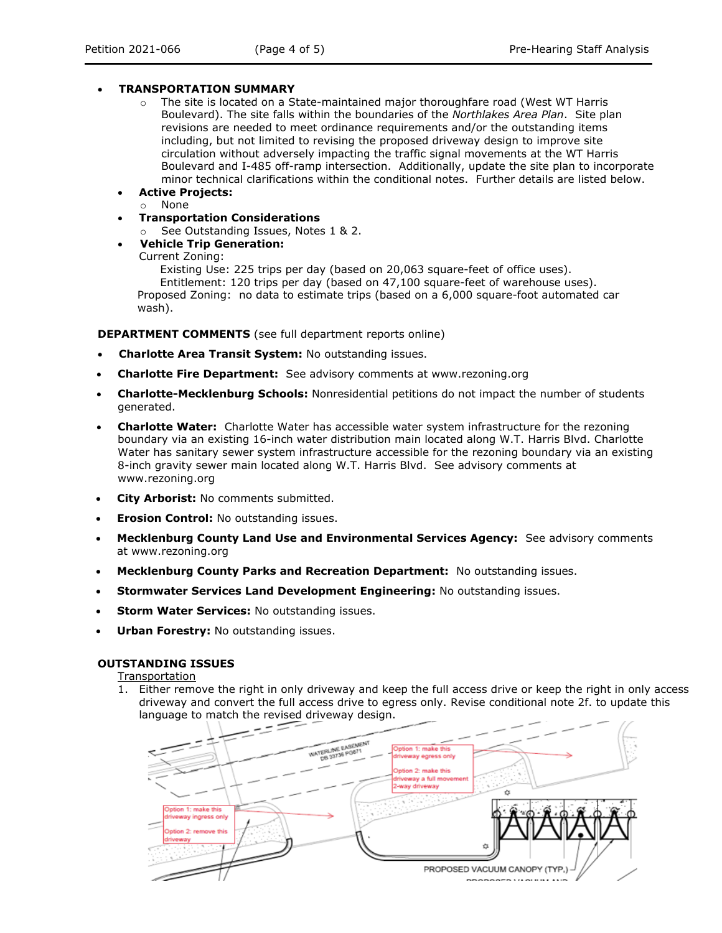## • **TRANSPORTATION SUMMARY**

- $\circ$  The site is located on a State-maintained major thoroughfare road (West WT Harris Boulevard). The site falls within the boundaries of the *Northlakes Area Plan*. Site plan revisions are needed to meet ordinance requirements and/or the outstanding items including, but not limited to revising the proposed driveway design to improve site circulation without adversely impacting the traffic signal movements at the WT Harris Boulevard and I-485 off-ramp intersection. Additionally, update the site plan to incorporate minor technical clarifications within the conditional notes. Further details are listed below.
- **Active Projects:**
	- o None
- **Transportation Considerations**
	- o See Outstanding Issues, Notes 1 & 2.
- **Vehicle Trip Generation:**

Current Zoning:

Existing Use: 225 trips per day (based on 20,063 square-feet of office uses). Entitlement: 120 trips per day (based on 47,100 square-feet of warehouse uses). Proposed Zoning: no data to estimate trips (based on a 6,000 square-foot automated car wash).

**DEPARTMENT COMMENTS** (see full department reports online)

- **Charlotte Area Transit System:** No outstanding issues.
- **Charlotte Fire Department:** See advisory comments at www.rezoning.org
- **Charlotte-Mecklenburg Schools:** Nonresidential petitions do not impact the number of students generated.
- **Charlotte Water:** Charlotte Water has accessible water system infrastructure for the rezoning boundary via an existing 16-inch water distribution main located along W.T. Harris Blvd. Charlotte Water has sanitary sewer system infrastructure accessible for the rezoning boundary via an existing 8-inch gravity sewer main located along W.T. Harris Blvd. See advisory comments at www.rezoning.org
- **City Arborist:** No comments submitted.
- **Erosion Control:** No outstanding issues.
- **Mecklenburg County Land Use and Environmental Services Agency:** See advisory comments at www.rezoning.org
- **Mecklenburg County Parks and Recreation Department:** No outstanding issues.
- **Stormwater Services Land Development Engineering:** No outstanding issues.
- **Storm Water Services: No outstanding issues.**
- **Urban Forestry: No outstanding issues.**

## **OUTSTANDING ISSUES**

Transportation

1. Either remove the right in only driveway and keep the full access drive or keep the right in only access driveway and convert the full access drive to egress only. Revise conditional note 2f. to update this language to match the revised driveway design.